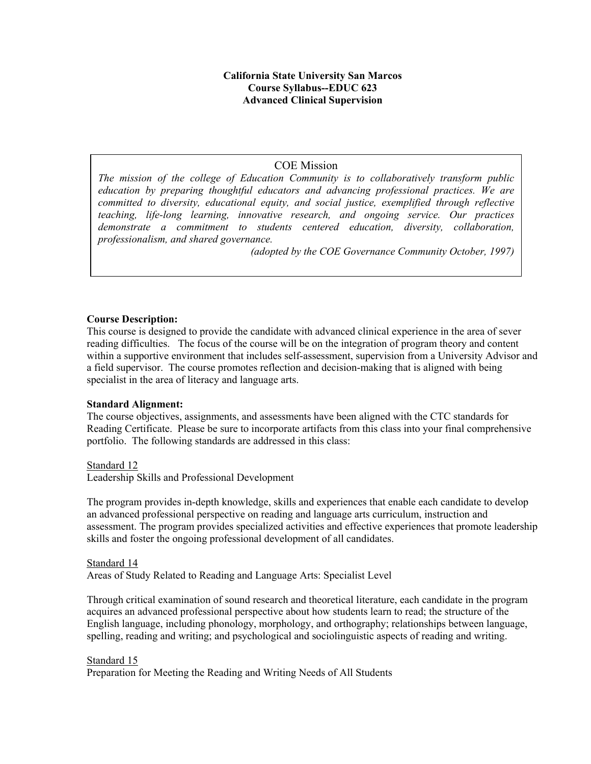## **California State University San Marcos Course Syllabus--EDUC 623 Advanced Clinical Supervision**

# COE Mission

*The mission of the college of Education Community is to collaboratively transform public education by preparing thoughtful educators and advancing professional practices. We are committed to diversity, educational equity, and social justice, exemplified through reflective teaching, life-long learning, innovative research, and ongoing service. Our practices demonstrate a commitment to students centered education, diversity, collaboration, professionalism, and shared governance.* 

*(adopted by the COE Governance Community October, 1997)*

## **Course Description:**

This course is designed to provide the candidate with advanced clinical experience in the area of sever reading difficulties. The focus of the course will be on the integration of program theory and content within a supportive environment that includes self-assessment, supervision from a University Advisor and a field supervisor. The course promotes reflection and decision-making that is aligned with being specialist in the area of literacy and language arts.

## **Standard Alignment:**

The course objectives, assignments, and assessments have been aligned with the CTC standards for Reading Certificate. Please be sure to incorporate artifacts from this class into your final comprehensive portfolio. The following standards are addressed in this class:

#### Standard 12

Leadership Skills and Professional Development

The program provides in-depth knowledge, skills and experiences that enable each candidate to develop an advanced professional perspective on reading and language arts curriculum, instruction and assessment. The program provides specialized activities and effective experiences that promote leadership skills and foster the ongoing professional development of all candidates.

#### Standard 14

Areas of Study Related to Reading and Language Arts: Specialist Level

Through critical examination of sound research and theoretical literature, each candidate in the program acquires an advanced professional perspective about how students learn to read; the structure of the English language, including phonology, morphology, and orthography; relationships between language, spelling, reading and writing; and psychological and sociolinguistic aspects of reading and writing.

Standard 15 Preparation for Meeting the Reading and Writing Needs of All Students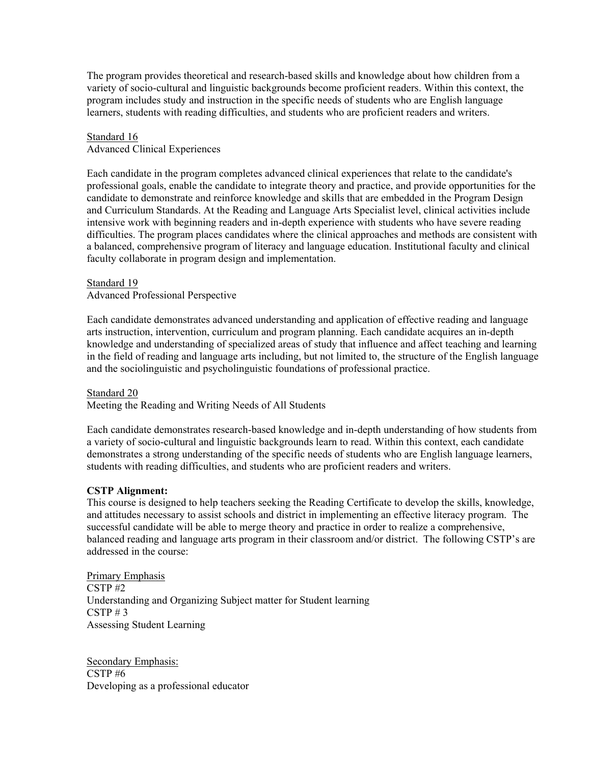The program provides theoretical and research-based skills and knowledge about how children from a variety of socio-cultural and linguistic backgrounds become proficient readers. Within this context, the program includes study and instruction in the specific needs of students who are English language learners, students with reading difficulties, and students who are proficient readers and writers.

#### Standard 16

Advanced Clinical Experiences

Each candidate in the program completes advanced clinical experiences that relate to the candidate's professional goals, enable the candidate to integrate theory and practice, and provide opportunities for the candidate to demonstrate and reinforce knowledge and skills that are embedded in the Program Design and Curriculum Standards. At the Reading and Language Arts Specialist level, clinical activities include intensive work with beginning readers and in-depth experience with students who have severe reading difficulties. The program places candidates where the clinical approaches and methods are consistent with a balanced, comprehensive program of literacy and language education. Institutional faculty and clinical faculty collaborate in program design and implementation.

#### Standard 19

Advanced Professional Perspective

Each candidate demonstrates advanced understanding and application of effective reading and language arts instruction, intervention, curriculum and program planning. Each candidate acquires an in-depth knowledge and understanding of specialized areas of study that influence and affect teaching and learning in the field of reading and language arts including, but not limited to, the structure of the English language and the sociolinguistic and psycholinguistic foundations of professional practice.

#### Standard 20

Meeting the Reading and Writing Needs of All Students

Each candidate demonstrates research-based knowledge and in-depth understanding of how students from a variety of socio-cultural and linguistic backgrounds learn to read. Within this context, each candidate demonstrates a strong understanding of the specific needs of students who are English language learners, students with reading difficulties, and students who are proficient readers and writers.

#### **CSTP Alignment:**

This course is designed to help teachers seeking the Reading Certificate to develop the skills, knowledge, and attitudes necessary to assist schools and district in implementing an effective literacy program. The successful candidate will be able to merge theory and practice in order to realize a comprehensive, balanced reading and language arts program in their classroom and/or district. The following CSTP's are addressed in the course:

Primary Emphasis CSTP #2 Understanding and Organizing Subject matter for Student learning  $CSTP \# 3$ Assessing Student Learning

Secondary Emphasis: CSTP #6 Developing as a professional educator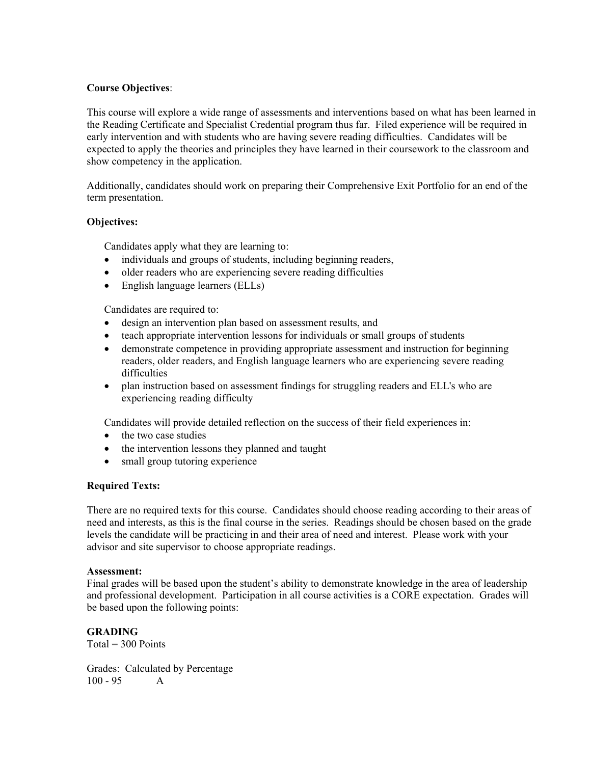## **Course Objectives**:

This course will explore a wide range of assessments and interventions based on what has been learned in the Reading Certificate and Specialist Credential program thus far. Filed experience will be required in early intervention and with students who are having severe reading difficulties. Candidates will be expected to apply the theories and principles they have learned in their coursework to the classroom and show competency in the application.

Additionally, candidates should work on preparing their Comprehensive Exit Portfolio for an end of the term presentation.

## **Objectives:**

Candidates apply what they are learning to:

- individuals and groups of students, including beginning readers,
- older readers who are experiencing severe reading difficulties
- English language learners (ELLs)

Candidates are required to:

- design an intervention plan based on assessment results, and
- teach appropriate intervention lessons for individuals or small groups of students
- demonstrate competence in providing appropriate assessment and instruction for beginning readers, older readers, and English language learners who are experiencing severe reading difficulties
- plan instruction based on assessment findings for struggling readers and ELL's who are experiencing reading difficulty

Candidates will provide detailed reflection on the success of their field experiences in:

- the two case studies
- the intervention lessons they planned and taught
- small group tutoring experience

## **Required Texts:**

There are no required texts for this course. Candidates should choose reading according to their areas of need and interests, as this is the final course in the series. Readings should be chosen based on the grade levels the candidate will be practicing in and their area of need and interest. Please work with your advisor and site supervisor to choose appropriate readings.

## **Assessment:**

Final grades will be based upon the student's ability to demonstrate knowledge in the area of leadership and professional development. Participation in all course activities is a CORE expectation. Grades will be based upon the following points:

**GRADING**  $Total = 300$  Points

Grades: Calculated by Percentage 100 - 95 A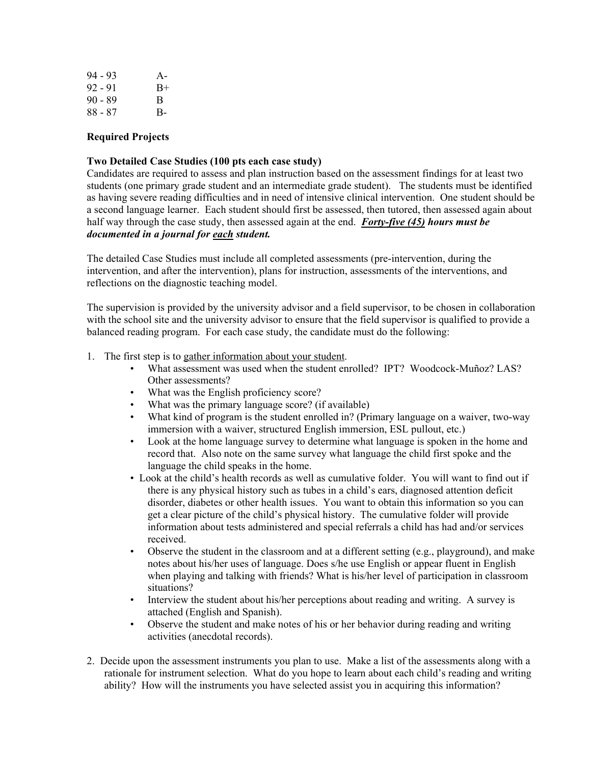| $94 - 93$ | $A -$ |
|-----------|-------|
| $92 - 91$ | $B+$  |
| $90 - 89$ | B     |
| 88 - 87   | $B -$ |

### **Required Projects**

### **Two Detailed Case Studies (100 pts each case study)**

Candidates are required to assess and plan instruction based on the assessment findings for at least two students (one primary grade student and an intermediate grade student). The students must be identified as having severe reading difficulties and in need of intensive clinical intervention. One student should be a second language learner. Each student should first be assessed, then tutored, then assessed again about half way through the case study, then assessed again at the end. *Forty-five (45) hours must be documented in a journal for each student.* 

The detailed Case Studies must include all completed assessments (pre-intervention, during the intervention, and after the intervention), plans for instruction, assessments of the interventions, and reflections on the diagnostic teaching model.

The supervision is provided by the university advisor and a field supervisor, to be chosen in collaboration with the school site and the university advisor to ensure that the field supervisor is qualified to provide a balanced reading program. For each case study, the candidate must do the following:

- 1. The first step is to gather information about your student.
	- What assessment was used when the student enrolled? IPT? Woodcock-Muñoz? LAS? Other assessments?
	- What was the English proficiency score?
	- What was the primary language score? (if available)
	- What kind of program is the student enrolled in? (Primary language on a waiver, two-way immersion with a waiver, structured English immersion, ESL pullout, etc.)
	- Look at the home language survey to determine what language is spoken in the home and record that. Also note on the same survey what language the child first spoke and the language the child speaks in the home.
	- Look at the child's health records as well as cumulative folder. You will want to find out if there is any physical history such as tubes in a child's ears, diagnosed attention deficit disorder, diabetes or other health issues. You want to obtain this information so you can get a clear picture of the child's physical history. The cumulative folder will provide information about tests administered and special referrals a child has had and/or services received.
	- Observe the student in the classroom and at a different setting (e.g., playground), and make notes about his/her uses of language. Does s/he use English or appear fluent in English when playing and talking with friends? What is his/her level of participation in classroom situations?
	- Interview the student about his/her perceptions about reading and writing. A survey is attached (English and Spanish).
	- Observe the student and make notes of his or her behavior during reading and writing activities (anecdotal records).
- 2. Decide upon the assessment instruments you plan to use. Make a list of the assessments along with a rationale for instrument selection. What do you hope to learn about each child's reading and writing ability? How will the instruments you have selected assist you in acquiring this information?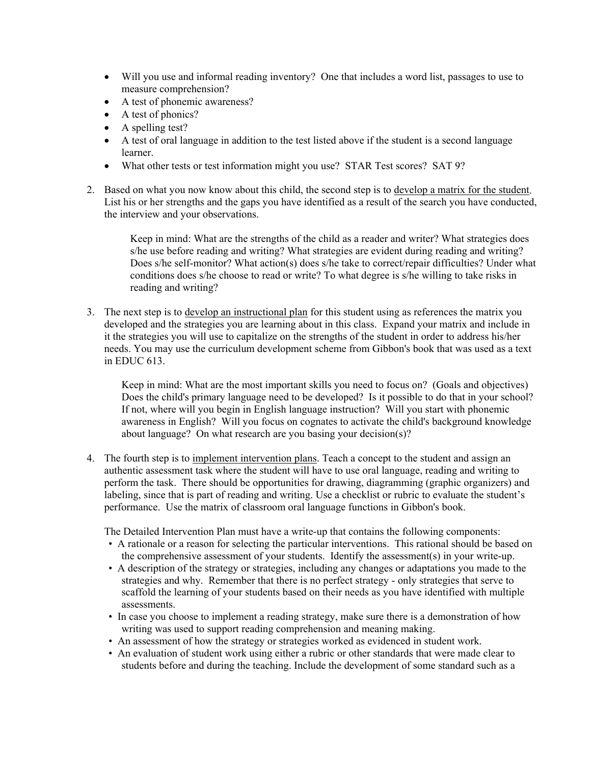- Will you use and informal reading inventory? One that includes a word list, passages to use to measure comprehension?
- A test of phonemic awareness?
- A test of phonics?
- A spelling test?
- A test of oral language in addition to the test listed above if the student is a second language learner.
- What other tests or test information might you use? STAR Test scores? SAT 9?
- 2. Based on what you now know about this child, the second step is to develop a matrix for the student. List his or her strengths and the gaps you have identified as a result of the search you have conducted, the interview and your observations.

 Keep in mind: What are the strengths of the child as a reader and writer? What strategies does s/he use before reading and writing? What strategies are evident during reading and writing? Does s/he self-monitor? What action(s) does s/he take to correct/repair difficulties? Under what conditions does s/he choose to read or write? To what degree is s/he willing to take risks in reading and writing?

3. The next step is to develop an instructional plan for this student using as references the matrix you developed and the strategies you are learning about in this class. Expand your matrix and include in it the strategies you will use to capitalize on the strengths of the student in order to address his/her needs. You may use the curriculum development scheme from Gibbon's book that was used as a text in EDUC 613.

 Keep in mind: What are the most important skills you need to focus on? (Goals and objectives) Does the child's primary language need to be developed? Is it possible to do that in your school? If not, where will you begin in English language instruction? Will you start with phonemic awareness in English? Will you focus on cognates to activate the child's background knowledge about language? On what research are you basing your decision(s)?

4. The fourth step is to implement intervention plans. Teach a concept to the student and assign an authentic assessment task where the student will have to use oral language, reading and writing to perform the task. There should be opportunities for drawing, diagramming (graphic organizers) and labeling, since that is part of reading and writing. Use a checklist or rubric to evaluate the student's performance. Use the matrix of classroom oral language functions in Gibbon's book.

The Detailed Intervention Plan must have a write-up that contains the following components:

- A rationale or a reason for selecting the particular interventions. This rational should be based on the comprehensive assessment of your students. Identify the assessment(s) in your write-up.
- A description of the strategy or strategies, including any changes or adaptations you made to the strategies and why. Remember that there is no perfect strategy - only strategies that serve to scaffold the learning of your students based on their needs as you have identified with multiple assessments.
- In case you choose to implement a reading strategy, make sure there is a demonstration of how writing was used to support reading comprehension and meaning making.
- An assessment of how the strategy or strategies worked as evidenced in student work.
- An evaluation of student work using either a rubric or other standards that were made clear to students before and during the teaching. Include the development of some standard such as a